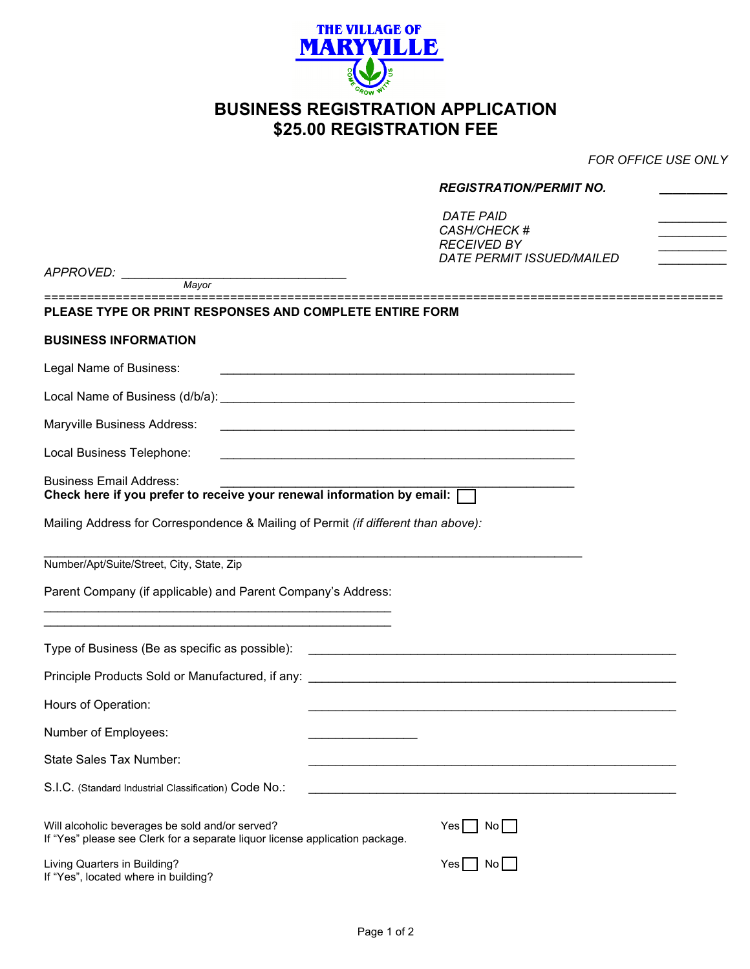

## **BUSINESS REGISTRATION APPLICATION \$25.00 REGISTRATION FEE**

*FOR OFFICE USE ONLY*

|                                                                                                                                                                                                                               | <b>REGISTRATION/PERMIT NO.</b><br><b>DATE PAID</b><br>CASH/CHECK # |  |  |
|-------------------------------------------------------------------------------------------------------------------------------------------------------------------------------------------------------------------------------|--------------------------------------------------------------------|--|--|
|                                                                                                                                                                                                                               |                                                                    |  |  |
|                                                                                                                                                                                                                               | <b>RECEIVED BY</b><br><b>DATE PERMIT ISSUED/MAILED</b>             |  |  |
| APPROVED: Mayor                                                                                                                                                                                                               |                                                                    |  |  |
| PLEASE TYPE OR PRINT RESPONSES AND COMPLETE ENTIRE FORM                                                                                                                                                                       |                                                                    |  |  |
|                                                                                                                                                                                                                               |                                                                    |  |  |
| <b>BUSINESS INFORMATION</b>                                                                                                                                                                                                   |                                                                    |  |  |
| Legal Name of Business:                                                                                                                                                                                                       |                                                                    |  |  |
|                                                                                                                                                                                                                               |                                                                    |  |  |
| Maryville Business Address:                                                                                                                                                                                                   |                                                                    |  |  |
| Local Business Telephone:                                                                                                                                                                                                     |                                                                    |  |  |
| <b>Business Email Address:</b><br>Check here if you prefer to receive your renewal information by email:                                                                                                                      |                                                                    |  |  |
| Mailing Address for Correspondence & Mailing of Permit (if different than above):                                                                                                                                             |                                                                    |  |  |
| Number/Apt/Suite/Street, City, State, Zip                                                                                                                                                                                     |                                                                    |  |  |
| Parent Company (if applicable) and Parent Company's Address:                                                                                                                                                                  |                                                                    |  |  |
| the control of the control of the control of the control of the control of the control of the control of the control of the control of the control of the control of the control of the control of the control of the control |                                                                    |  |  |
|                                                                                                                                                                                                                               |                                                                    |  |  |
|                                                                                                                                                                                                                               |                                                                    |  |  |
| Hours of Operation:                                                                                                                                                                                                           |                                                                    |  |  |
| Number of Employees:                                                                                                                                                                                                          |                                                                    |  |  |
| State Sales Tax Number:                                                                                                                                                                                                       |                                                                    |  |  |
| S.I.C. (Standard Industrial Classification) Code No.:                                                                                                                                                                         |                                                                    |  |  |
| Will alcoholic beverages be sold and/or served?<br>If "Yes" please see Clerk for a separate liquor license application package.                                                                                               | No<br>Yesl                                                         |  |  |
| Living Quarters in Building?<br>If "Yes", located where in building?                                                                                                                                                          | Yes<br>No I                                                        |  |  |